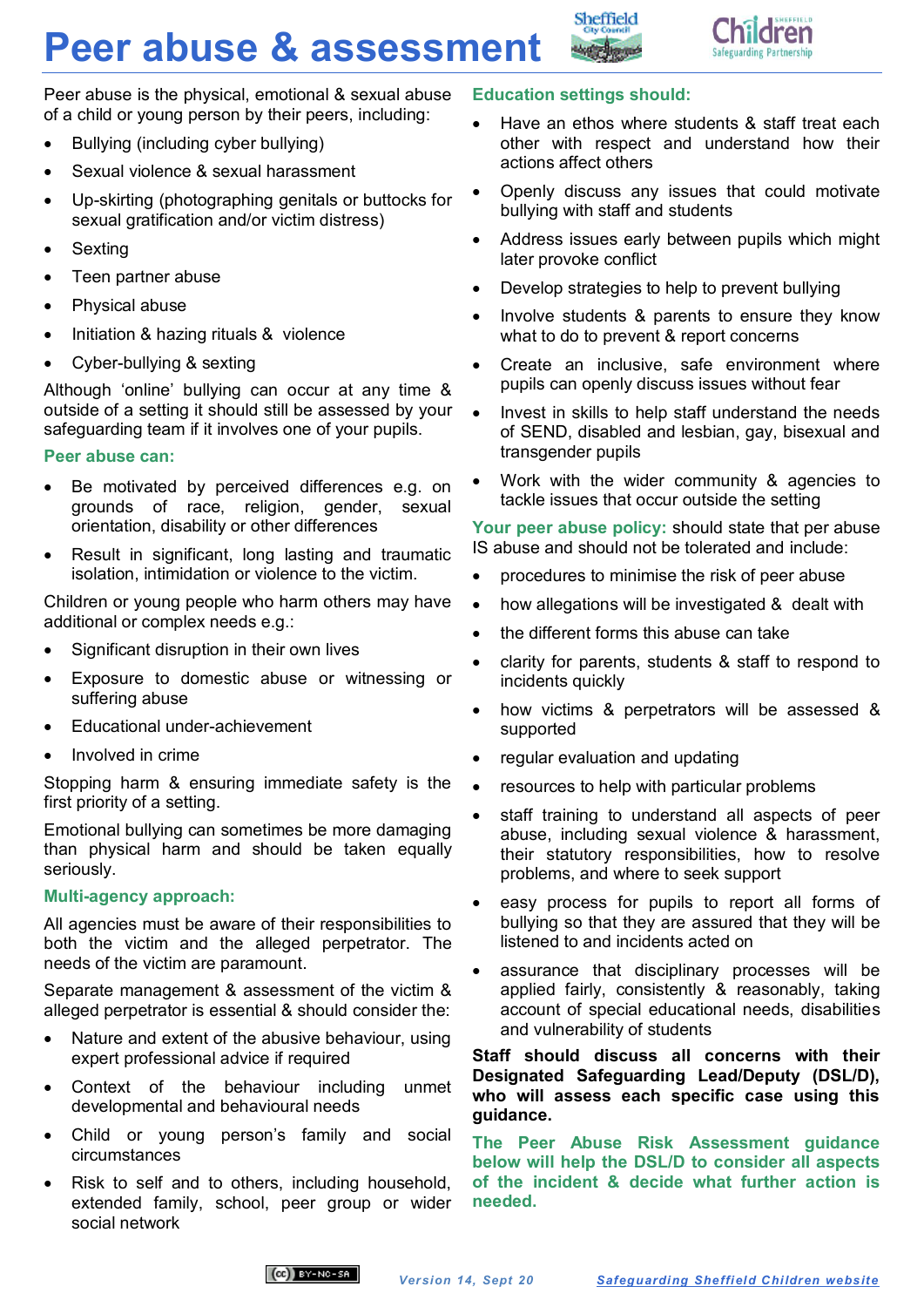# **Peer abuse & assessment**



Peer abuse is the physical, emotional & sexual abuse of a child or young person by their peers, including:

- Bullying (including cyber bullying)
- Sexual violence & sexual harassment
- Up-skirting (photographing genitals or buttocks for sexual gratification and/or victim distress)
- Sexting
- Teen partner abuse
- Physical abuse
- Initiation & hazing rituals & violence
- Cyber-bullying & sexting

Although 'online' bullying can occur at any time & outside of a setting it should still be assessed by your safeguarding team if it involves one of your pupils.

## **Peer abuse can:**

- Be motivated by perceived differences e.g. on grounds of race, religion, gender, sexual orientation, disability or other differences
- Result in significant, long lasting and traumatic isolation, intimidation or violence to the victim.

Children or young people who harm others may have additional or complex needs e.g.:

- Significant disruption in their own lives
- Exposure to domestic abuse or witnessing or suffering abuse
- Educational under-achievement
- Involved in crime

Stopping harm & ensuring immediate safety is the first priority of a setting.

Emotional bullying can sometimes be more damaging than physical harm and should be taken equally seriously.

## **Multi-agency approach:**

All agencies must be aware of their responsibilities to both the victim and the alleged perpetrator. The needs of the victim are paramount.

Separate management & assessment of the victim & alleged perpetrator is essential & should consider the:

- Nature and extent of the abusive behaviour, using expert professional advice if required
- Context of the behaviour including unmet developmental and behavioural needs
- Child or young person's family and social circumstances
- Risk to self and to others, including household, extended family, school, peer group or wider social network

## **Education settings should:**

Sheffield

- Have an ethos where students & staff treat each other with respect and understand how their actions affect others
- Openly discuss any issues that could motivate bullying with staff and students
- Address issues early between pupils which might later provoke conflict
- Develop strategies to help to prevent bullying
- Involve students & parents to ensure they know what to do to prevent & report concerns
- Create an inclusive, safe environment where pupils can openly discuss issues without fear
- Invest in skills to help staff understand the needs of SEND, disabled and lesbian, gay, bisexual and transgender pupils
- Work with the wider community & agencies to tackle issues that occur outside the setting

**Your peer abuse policy:** should state that per abuse IS abuse and should not be tolerated and include:

- procedures to minimise the risk of peer abuse
- how allegations will be investigated & dealt with
- the different forms this abuse can take
- clarity for parents, students & staff to respond to incidents quickly
- how victims & perpetrators will be assessed & supported
- regular evaluation and updating
- resources to help with particular problems
- staff training to understand all aspects of peer abuse, including sexual violence & harassment, their statutory responsibilities, how to resolve problems, and where to seek support
- easy process for pupils to report all forms of bullying so that they are assured that they will be listened to and incidents acted on
- assurance that disciplinary processes will be applied fairly, consistently & reasonably, taking account of special educational needs, disabilities and vulnerability of students

**Staff should discuss all concerns with their Designated Safeguarding Lead/Deputy (DSL/D), who will assess each specific case using this guidance.**

**The Peer Abuse Risk Assessment guidance below will help the DSL/D to consider all aspects of the incident & decide what further action is needed.** 

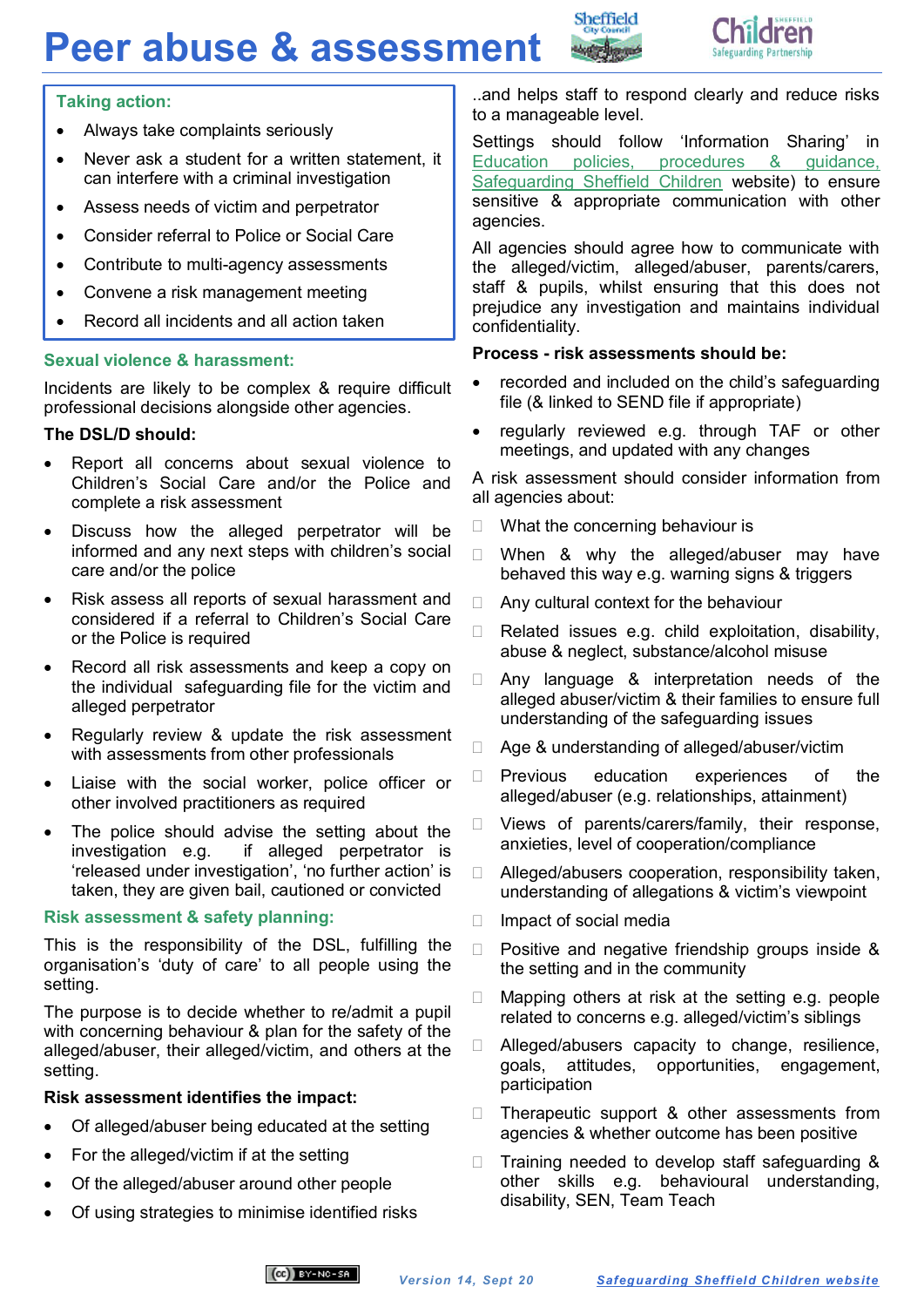# **Peer abuse & assessment**





## **Taking action:**

- Always take complaints seriously
- Never ask a student for a written statement, it can interfere with a criminal investigation
- Assess needs of victim and perpetrator
- Consider referral to Police or Social Care
- Contribute to multi-agency assessments
- Convene a risk management meeting
- Record all incidents and all action taken

## **Sexual violence & harassment:**

Incidents are likely to be complex & require difficult professional decisions alongside other agencies.

## **The DSL/D should:**

- Report all concerns about sexual violence to Children's Social Care and/or the Police and complete a risk assessment
- Discuss how the alleged perpetrator will be informed and any next steps with children's social care and/or the police
- Risk assess all reports of sexual harassment and considered if a referral to Children's Social Care or the Police is required
- Record all risk assessments and keep a copy on the individual safeguarding file for the victim and alleged perpetrator
- Regularly review & update the risk assessment with assessments from other professionals
- Liaise with the social worker, police officer or other involved practitioners as required
- The police should advise the setting about the investigation e.g. if alleged perpetrator is 'released under investigation', 'no further action' is taken, they are given bail, cautioned or convicted

## **Risk assessment & safety planning:**

This is the responsibility of the DSL, fulfilling the organisation's 'duty of care' to all people using the setting.

The purpose is to decide whether to re/admit a pupil with concerning behaviour & plan for the safety of the alleged/abuser, their alleged/victim, and others at the setting.

## **Risk assessment identifies the impact:**

- Of alleged/abuser being educated at the setting
- For the alleged/victim if at the setting
- Of the alleged/abuser around other people
- Of using strategies to minimise identified risks

..and helps staff to respond clearly and reduce risks to a manageable level.

Settings should follow 'Information Sharing' in [Education policies, procedures & guidance,](https://www.safeguardingsheffieldchildren.org/sscb/education/policies-procedures)  [Safeguarding Sheffield Children](https://www.safeguardingsheffieldchildren.org/sscb/education/policies-procedures) website) to ensure sensitive & appropriate communication with other agencies.

All agencies should agree how to communicate with the alleged/victim, alleged/abuser, parents/carers, staff & pupils, whilst ensuring that this does not prejudice any investigation and maintains individual confidentiality.

#### **Process - risk assessments should be:**

- recorded and included on the child's safeguarding file (& linked to SEND file if appropriate)
- regularly reviewed e.g. through TAF or other meetings, and updated with any changes

A risk assessment should consider information from all agencies about:

- $\Box$  What the concerning behaviour is
- □ When & why the alleged/abuser may have behaved this way e.g. warning signs & triggers
- $\Box$  Any cultural context for the behaviour
- Related issues e.g. child exploitation, disability, abuse & neglect, substance/alcohol misuse
- $\Box$  Any language & interpretation needs of the alleged abuser/victim & their families to ensure full understanding of the safeguarding issues
- □ Age & understanding of alleged/abuser/victim
- $\Box$  Previous education experiences of the alleged/abuser (e.g. relationships, attainment)
- D Views of parents/carers/family, their response, anxieties, level of cooperation/compliance
- $\Box$  Alleged/abusers cooperation, responsibility taken, understanding of allegations & victim's viewpoint
- $\Box$  Impact of social media
- $\Box$  Positive and negative friendship groups inside & the setting and in the community
- $\Box$  Mapping others at risk at the setting e.g. people related to concerns e.g. alleged/victim's siblings
- □ Alleged/abusers capacity to change, resilience, goals, attitudes, opportunities, engagement, participation
- $\Box$  Therapeutic support & other assessments from agencies & whether outcome has been positive
- $\Box$  Training needed to develop staff safeguarding & other skills e.g. behavioural understanding, disability, SEN, Team Teach

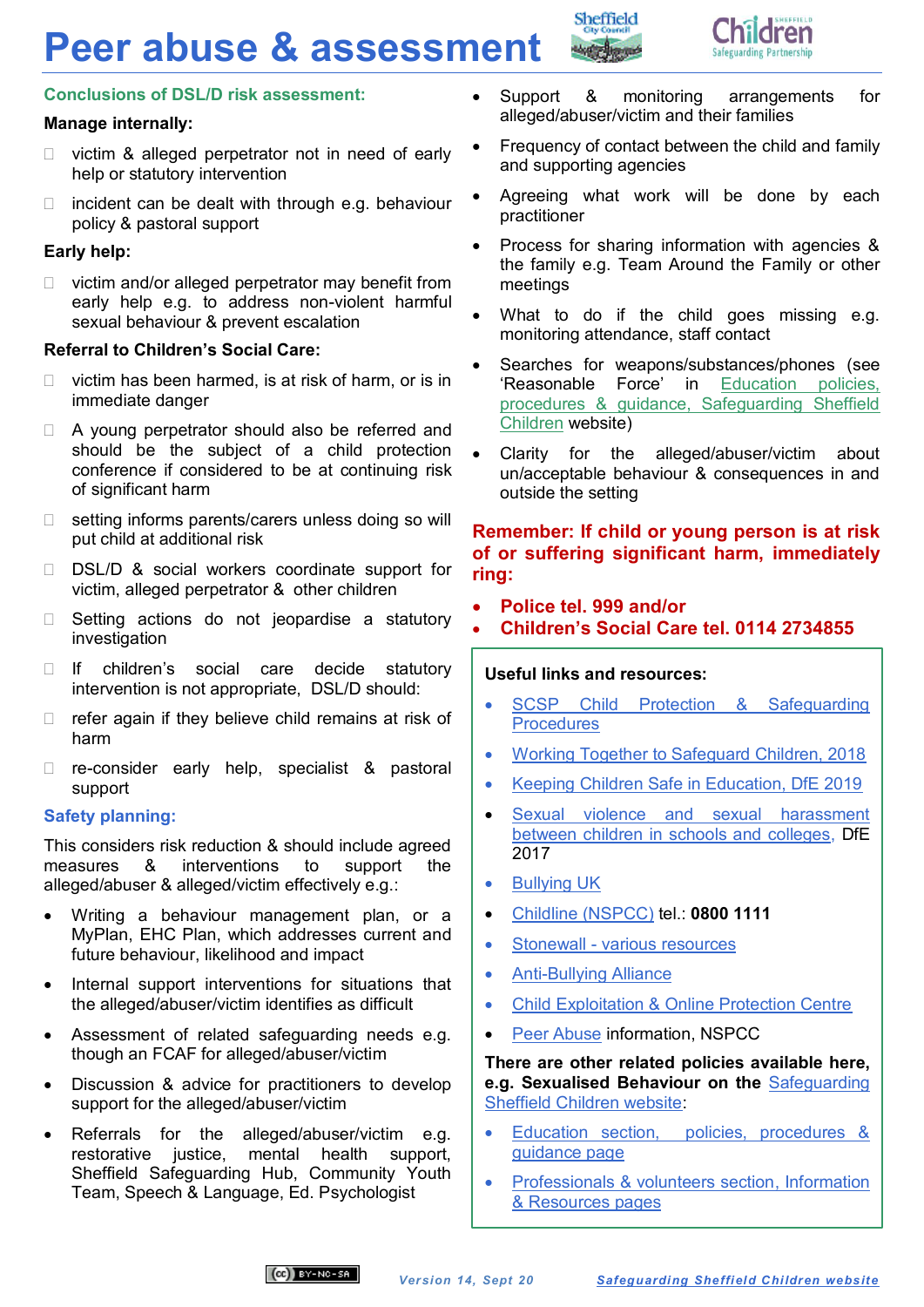# **Peer abuse & assessment**



## **Conclusions of DSL/D risk assessment:**

# **Manage internally:**

- $\Box$  victim & alleged perpetrator not in need of early help or statutory intervention
- $\Box$  incident can be dealt with through e.g. behaviour policy & pastoral support

# **Early help:**

 $\Box$  victim and/or alleged perpetrator may benefit from early help e.g. to address non-violent harmful sexual behaviour & prevent escalation

## **Referral to Children's Social Care:**

- $\Box$  victim has been harmed, is at risk of harm, or is in immediate danger
- □ A young perpetrator should also be referred and should be the subject of a child protection conference if considered to be at continuing risk of significant harm
- $\Box$  setting informs parents/carers unless doing so will put child at additional risk
- D DSL/D & social workers coordinate support for victim, alleged perpetrator & other children
- $\Box$  Setting actions do not jeopardise a statutory investigation
- If children's social care decide statutory intervention is not appropriate, DSL/D should:
- $\Box$  refer again if they believe child remains at risk of harm
- re-consider early help, specialist & pastoral support

## **Safety planning:**

This considers risk reduction & should include agreed measures & interventions to support the alleged/abuser & alleged/victim effectively e.g.:

- Writing a behaviour management plan, or a MyPlan, EHC Plan, which addresses current and future behaviour, likelihood and impact
- Internal support interventions for situations that the alleged/abuser/victim identifies as difficult
- Assessment of related safeguarding needs e.g. though an FCAF for alleged/abuser/victim
- Discussion & advice for practitioners to develop support for the alleged/abuser/victim
- Referrals for the alleged/abuser/victim e.g. restorative justice, mental health support, Sheffield Safeguarding Hub, Community Youth Team, Speech & Language, Ed. Psychologist

 Support & monitoring arrangements for alleged/abuser/victim and their families

Sheffield

- Frequency of contact between the child and family and supporting agencies
- Agreeing what work will be done by each practitioner
- Process for sharing information with agencies & the family e.g. Team Around the Family or other meetings
- What to do if the child goes missing e.g. monitoring attendance, staff contact
- Searches for weapons/substances/phones (see 'Reasonable Force' in [Education policies,](https://www.safeguardingsheffieldchildren.org/sscb/education/policies-procedures)  [procedures & guidance, Safeguarding Sheffield](https://www.safeguardingsheffieldchildren.org/sscb/education/policies-procedures)  [Children](https://www.safeguardingsheffieldchildren.org/sscb/education/policies-procedures) website)
- Clarity for the alleged/abuser/victim about un/acceptable behaviour & consequences in and outside the setting

# **Remember: If child or young person is at risk of or suffering significant harm, immediately ring:**

- **Police tel. 999 and/or**
- **Children's Social Care tel. 0114 2734855**

# **Useful links and resources:**

- SCSP Child Protection & Safeguarding **[Procedures](http://sheffieldscb.proceduresonline.com/index.htm)**
- [Working Together to Safeguard Children, 2018](https://www.gov.uk/government/publications/working-together-to-safeguard-children)
- [Keeping Children Safe in Education, DfE 2019](https://www.gov.uk/government/publications/keeping-children-safe-in-education--2)
- [Sexual violence and sexual harassment](https://assets.publishing.service.gov.uk/government/uploads/system/uploads/attachment_data/file/719902/Sexual_violence_and_sexual_harassment_between_children_in_schools_and_colleges.pdf)  [between children in schools and colleges,](https://assets.publishing.service.gov.uk/government/uploads/system/uploads/attachment_data/file/719902/Sexual_violence_and_sexual_harassment_between_children_in_schools_and_colleges.pdf) DfE 2017
- Bullving UK
- Childline [\(NSPCC\)](http://www.childline.org.uk/Pages/Home.aspx) tel.: **0800 1111**
- Stonewall [various resources](http://www.stonewall.org.uk/search/bullying%20at%20school)
- [Anti-Bullying Alliance](http://www.anti-bullyingalliance.org.uk/)
- [Child Exploitation & Online Protection Centre](https://ceop.police.uk/safety-centre/)
- [Peer Abuse](https://www.nspcc.org.uk/search/?query=peer+abuse) information, NSPCC

**There are other related policies available here, e.g. Sexualised Behaviour on the** [Safeguarding](https://www.safeguardingsheffieldchildren.org/sscb)  [Sheffield Children website:](https://www.safeguardingsheffieldchildren.org/sscb)

- [Education section, policies, procedures &](https://www.safeguardingsheffieldchildren.org/sscb/education/policies-procedures)  [guidance page](https://www.safeguardingsheffieldchildren.org/sscb/education/policies-procedures)
- Professionals & volunteers section, Information [& Resources pages](https://www.safeguardingsheffieldchildren.org/sscb/safeguarding-information-and-resources/information-and-resources)